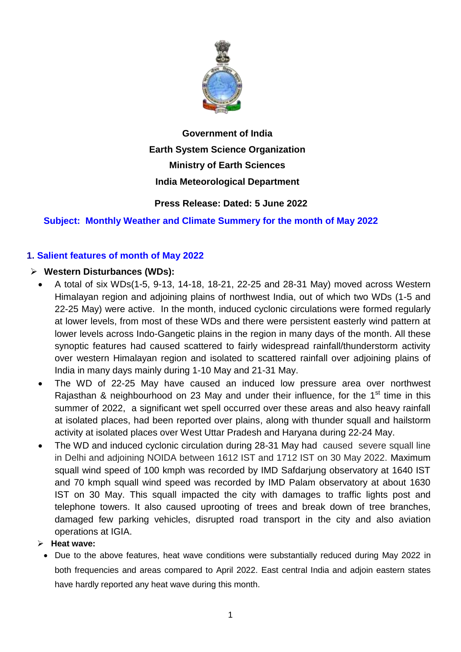

# **Government of India Earth System Science Organization Ministry of Earth Sciences India Meteorological Department**

# **Press Release: Dated: 5 June 2022**

# **Subject: Monthly Weather and Climate Summery for the month of May 2022**

# **1. Salient features of month of May 2022**

## **Western Disturbances (WDs):**

- $\bullet$  A total of six WDs(1-5, 9-13, 14-18, 18-21, 22-25 and 28-31 May) moved across Western Himalayan region and adjoining plains of northwest India, out of which two WDs (1-5 and 22-25 May) were active. In the month, induced cyclonic circulations were formed regularly at lower levels, from most of these WDs and there were persistent easterly wind pattern at lower levels across Indo-Gangetic plains in the region in many days of the month. All these synoptic features had caused scattered to fairly widespread rainfall/thunderstorm activity over western Himalayan region and isolated to scattered rainfall over adjoining plains of India in many days mainly during 1-10 May and 21-31 May.
- The WD of 22-25 May have caused an induced low pressure area over northwest Rajasthan & neighbourhood on 23 May and under their influence, for the  $1<sup>st</sup>$  time in this summer of 2022, a significant wet spell occurred over these areas and also heavy rainfall at isolated places, had been reported over plains, along with thunder squall and hailstorm activity at isolated places over West Uttar Pradesh and Haryana during 22-24 May.
- The WD and induced cyclonic circulation during 28-31 May hadcaused severe squall line in Delhi and adjoining NOIDA between 1612 IST and 1712 IST on 30 May 2022. Maximum squall wind speed of 100 kmph was recorded by IMD Safdarjung observatory at 1640 IST and 70 kmph squall wind speed was recorded by IMD Palam observatory at about 1630 IST on 30 May. This squall impacted the city with damages to traffic lights post and telephone towers. It also caused uprooting of trees and break down of tree branches, damaged few parking vehicles, disrupted road transport in the city and also aviation operations at IGIA.

## **Heat wave:**

• Due to the above features, heat wave conditions were substantially reduced during May 2022 in both frequencies and areas compared to April 2022. East central India and adjoin eastern states have hardly reported any heat wave during this month.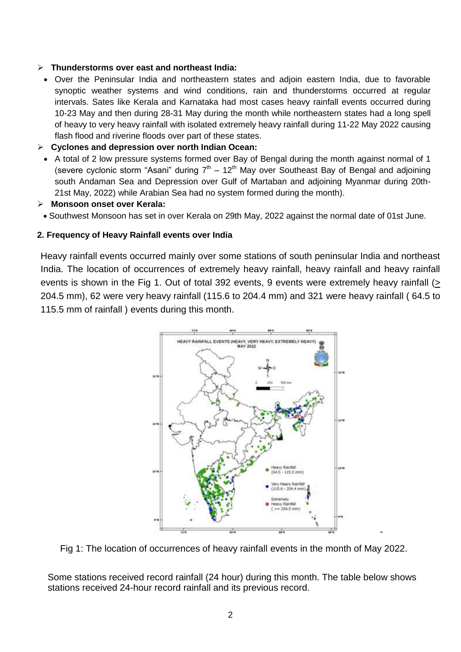## **Thunderstorms over east and northeast India:**

- Over the Peninsular India and northeastern states and adjoin eastern India, due to favorable synoptic weather systems and wind conditions, rain and thunderstorms occurred at regular intervals. Sates like Kerala and Karnataka had most cases heavy rainfall events occurred during 10-23 May and then during 28-31 May during the month while northeastern states had a long spell of heavy to very heavy rainfall with isolated extremely heavy rainfall during 11-22 May 2022 causing flash flood and riverine floods over part of these states.
- **Cyclones and depression over north Indian Ocean:**
- A total of 2 low pressure systems formed over Bay of Bengal during the month against normal of 1 (severe cyclonic storm "Asani" during  $7<sup>th</sup> - 12<sup>th</sup>$  May over Southeast Bay of Bengal and adjoining south Andaman Sea and Depression over Gulf of Martaban and adjoining Myanmar during 20th-21st May, 2022) while Arabian Sea had no system formed during the month).
- **Monsoon onset over Kerala:**
- Southwest Monsoon has set in over Kerala on 29th May, 2022 against the normal date of 01st June.

### **2. Frequency of Heavy Rainfall events over India**

Heavy rainfall events occurred mainly over some stations of south peninsular India and northeast India. The location of occurrences of extremely heavy rainfall, heavy rainfall and heavy rainfall events is shown in the Fig 1. Out of total 392 events, 9 events were extremely heavy rainfall (> 204.5 mm), 62 were very heavy rainfall (115.6 to 204.4 mm) and 321 were heavy rainfall ( 64.5 to 115.5 mm of rainfall ) events during this month.



Fig 1: The location of occurrences of heavy rainfall events in the month of May 2022.

-

Some stations received record rainfall (24 hour) during this month. The table below shows stations received 24-hour record rainfall and its previous record.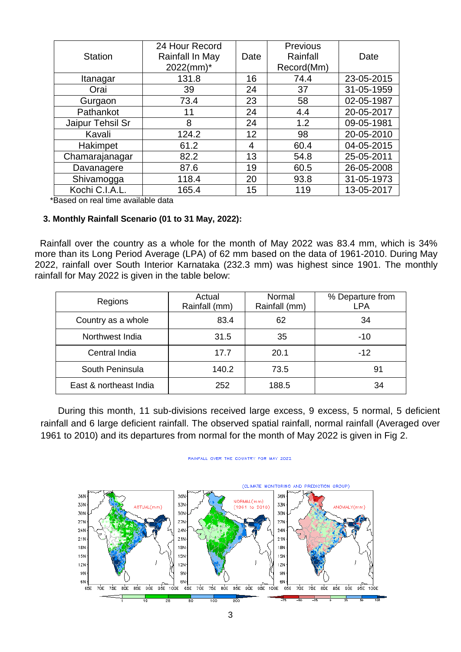| <b>Station</b>   | 24 Hour Record<br>Rainfall In May<br>$2022$ (mm)* | Date | Previous<br>Rainfall<br>Record(Mm) | Date       |
|------------------|---------------------------------------------------|------|------------------------------------|------------|
| Itanagar         | 131.8                                             | 16   | 74.4                               | 23-05-2015 |
| Orai             | 39                                                | 24   | 37                                 | 31-05-1959 |
| Gurgaon          | 73.4                                              | 23   | 58                                 | 02-05-1987 |
| Pathankot        | 11                                                | 24   | 4.4                                | 20-05-2017 |
| Jaipur Tehsil Sr | 8                                                 | 24   | 1.2                                | 09-05-1981 |
| Kavali           | 124.2                                             | 12   | 98                                 | 20-05-2010 |
| Hakimpet         | 61.2                                              | 4    | 60.4                               | 04-05-2015 |
| Chamarajanagar   | 82.2                                              | 13   | 54.8                               | 25-05-2011 |
| Davanagere       | 87.6                                              | 19   | 60.5                               | 26-05-2008 |
| Shivamogga       | 118.4                                             | 20   | 93.8                               | 31-05-1973 |
| Kochi C.I.A.L.   | 165.4                                             | 15   | 119                                | 13-05-2017 |

\*Based on real time available data

### **3. Monthly Rainfall Scenario (01 to 31 May, 2022):**

 Rainfall over the country as a whole for the month of May 2022 was 83.4 mm, which is 34% more than its Long Period Average (LPA) of 62 mm based on the data of 1961-2010. During May 2022, rainfall over South Interior Karnataka (232.3 mm) was highest since 1901. The monthly rainfall for May 2022 is given in the table below:

| Regions                | Actual<br>Rainfall (mm) | Normal<br>Rainfall (mm) | % Departure from<br><b>LPA</b> |  |
|------------------------|-------------------------|-------------------------|--------------------------------|--|
| Country as a whole     | 83.4                    | 62                      | 34                             |  |
| Northwest India        | 31.5                    | 35                      | $-10$                          |  |
| Central India          | 17.7                    | 20.1                    | $-12$                          |  |
| South Peninsula        | 140.2                   | 73.5                    | 91                             |  |
| East & northeast India | 252                     | 188.5                   | 34                             |  |

During this month, 11 sub-divisions received large excess, 9 excess, 5 normal, 5 deficient rainfall and 6 large deficient rainfall. The observed spatial rainfall, normal rainfall (Averaged over 1961 to 2010) and its departures from normal for the month of May 2022 is given in Fig 2.



RAINFALL OVER THE COUNTRY FOR MAY 2022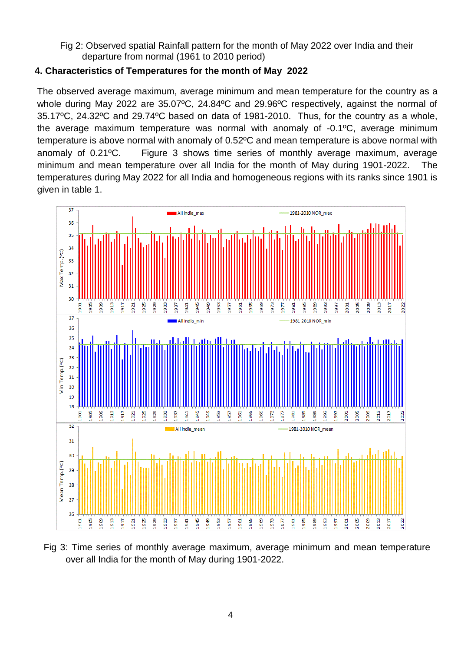Fig 2: Observed spatial Rainfall pattern for the month of May 2022 over India and their departure from normal (1961 to 2010 period)

## **4. Characteristics of Temperatures for the month of May 2022**

The observed average maximum, average minimum and mean temperature for the country as a whole during May 2022 are 35.07ºC, 24.84ºC and 29.96ºC respectively, against the normal of 35.17ºC, 24.32ºC and 29.74ºC based on data of 1981-2010. Thus, for the country as a whole, the average maximum temperature was normal with anomaly of -0.1ºC, average minimum temperature is above normal with anomaly of 0.52ºC and mean temperature is above normal with anomaly of 0.21ºC. Figure 3 shows time series of monthly average maximum, average minimum and mean temperature over all India for the month of May during 1901-2022. The temperatures during May 2022 for all India and homogeneous regions with its ranks since 1901 is given in table 1.



Fig 3: Time series of monthly average maximum, average minimum and mean temperature over all India for the month of May during 1901-2022.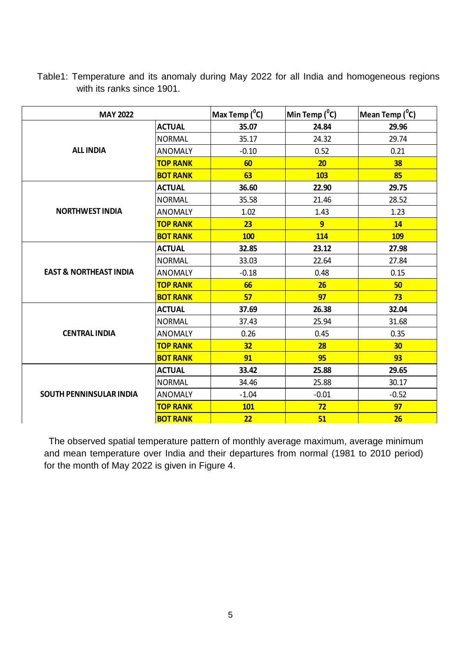| <b>MAY 2022</b>                   |                 | Max Temp $(^0C)$ | Min Temp $(^0C)$ | Mean Temp $(^0C)$ |
|-----------------------------------|-----------------|------------------|------------------|-------------------|
| <b>ALL INDIA</b>                  | <b>ACTUAL</b>   | 35.07            | 24.84            | 29.96             |
|                                   | <b>NORMAL</b>   | 35.17            | 24.32            | 29.74             |
|                                   | <b>ANOMALY</b>  | $-0.10$          | 0.52             | 0.21              |
|                                   | <b>TOP RANK</b> | 60               | 20               | 38                |
|                                   | <b>BOT RANK</b> | 63               | <b>103</b>       | 85                |
|                                   | <b>ACTUAL</b>   | 36.60            | 22.90            | 29.75             |
|                                   | <b>NORMAL</b>   | 35.58            | 21.46            | 28.52             |
| <b>NORTHWEST INDIA</b>            | <b>ANOMALY</b>  | 1.02             | 1.43             | 1.23              |
|                                   | <b>TOP RANK</b> | 23               | 9                | 14                |
|                                   | <b>BOT RANK</b> | <b>100</b>       | <b>114</b>       | <b>109</b>        |
| <b>EAST &amp; NORTHEAST INDIA</b> | <b>ACTUAL</b>   | 32.85            | 23.12            | 27.98             |
|                                   | <b>NORMAL</b>   | 33.03            | 22.64            | 27.84             |
|                                   | <b>ANOMALY</b>  | $-0.18$          | 0.48             | 0.15              |
|                                   | <b>TOP RANK</b> | 66               | 26               | 50                |
|                                   | <b>BOT RANK</b> | 57               | 97               | 73                |
|                                   | <b>ACTUAL</b>   | 37.69            | 26.38            | 32.04             |
|                                   | <b>NORMAL</b>   | 37.43            | 25.94            | 31.68             |
| <b>CENTRAL INDIA</b>              | <b>ANOMALY</b>  | 0.26             | 0.45             | 0.35              |
|                                   | <b>TOP RANK</b> | 32               | 28               | 30 <sub>2</sub>   |
|                                   | <b>BOT RANK</b> | 91               | 95               | 93                |
| <b>SOUTH PENNINSULAR INDIA</b>    | <b>ACTUAL</b>   | 33.42            | 25.88            | 29.65             |
|                                   | <b>NORMAL</b>   | 34.46            | 25.88            | 30.17             |
|                                   | <b>ANOMALY</b>  | $-1.04$          | $-0.01$          | $-0.52$           |
|                                   | <b>TOP RANK</b> | <b>101</b>       | 72               | 97                |
|                                   | <b>BOT RANK</b> | 22               | 51               | 26                |

Table1: Temperature and its anomaly during May 2022 for all India and homogeneous regions with its ranks since 1901.

The observed spatial temperature pattern of monthly average maximum, average minimum and mean temperature over India and their departures from normal (1981 to 2010 period) for the month of May 2022 is given in Figure 4.